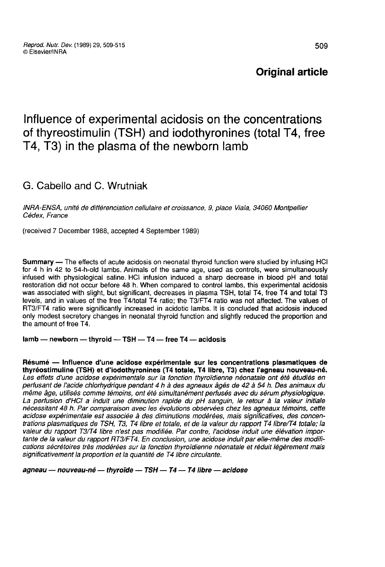# Original article

# Influence of experimental acidosis on the concentrations of thyreostimulin (TSH) and iodothyronines (total T4, free T4, T3) in the plasma of the newborn lamb

# G. Cabello and C. Wrutniak

INRA-ENSA, unité de différenciation cellulaire et croissance, 9, place Viala, 34060 Montpellier Cédex, France

(received 7 December 1988, accepted 4 September 1989)

Summary ― The effects of acute acidosis on neonatal thyroid function were studied by infusing HCI for 4 h in 42 to 54-h-old lambs. Animals of the same age, used as controls, were simultaneously infused with physiological saline. HCI infusion induced a sharp decrease in blood pH and total restoration did not occur before 48 h. When compared to control lambs, this experimental acidosis was associated with slight, but significant, decreases in plasma TSH, total T4, free T4 and total T3 levels, and in values of the free T4/total T4 ratio; the T3/FT4 ratio was not affected. The values of RT3/FT4 ratio were significantly increased in acidotic lambs. It is concluded that acidosis induced only modest secretory changes in neonatal thyroid function and slightly reduced the proportion and the amount of free T4.

 $lamb$  — newborn — thyroid — TSH — T4 — free T4 — acidosis

Résumé ― Influence d'une acidose expérimentale sur les concentrations plasmatiques de thyréostimuline (TSH) et d'iodothyronines (T4 totale, T4 libre, T3) chez l'agneau nouveau-né. Les effets d'une acidose expérimentale sur la fonction thyroïdienne néonatale ont été étudiés en perfusant de l'acide chlorhydrique pendant 4 h à des agneaux âgés de 42 à 54 h. Des animaux du<br>même âge, utilisés comme témoins, ont été simultanément perfusés avec du sérum physiologique. La perfusion d'HCI a induit une diminution rapide du pH sanguin, le retour à la valeur initiale nécessitant 48 h. Par comparaison avec les évolutions observées chez les agneaux témoins, cette acidose expérimentale est associée à des diminutions modérées, mais significatives, des concentrations plasmatiques de TSH, T3, T4 libre et totale, et de la valeur du rapport T4 libre/T4 totale; la<br>valeur du rapport T3/T4 libre n'est pas modifiée. Par contre, l'acidose induit une élévation importante de la valeur du rapport RT3/FT4. En conclusion, une acidose induit par elle-même des modifications sécrétoires très modérées sur la fonction thyroïdienne néonatale et réduit légèrement mais significativement la proportion et la quantité de T4 libre circulante.

agneau — nouveau-né — thyroïde — TSH — T4 — T4 libre — acidose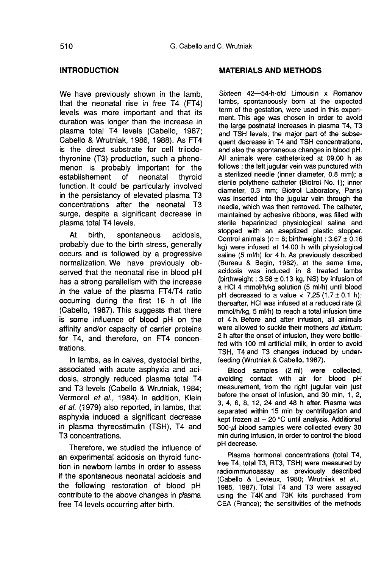#### **INTRODUCTION**

We have previously shown in the lamb, that the neonatal rise in free T4 (FT4) levels was more important and that its duration was longer than the increase in plasma total T4 levels (Cabello, 1987; Cabello & Wrutniak, 1986, 1988). As FT4 is the direct substrate for cell triiodothyronine (T3) production, such a pheno menon is probably important for the<br>establishement of neonatal thyroid establishement of neonatal thyroid function. It could be particularly involved in the persistancy of elevated plasma T3 concentrations after the neonatal T3 surge, despite a significant decrease in plasma total T4 levels.

At birth, spontaneous acidosis, probably due to the birth stress, generally occurs and is followed by a progressive normalization. We have previously observed that the neonatal rise in blood pH has a strong parallelism with the increase in the value of the plasma FT4/T4 ratio occurring during the first 16 h of life (Cabello, 1987). This suggests that there is some influence of blood pH on the affinity and/or capacity of carrier proteins for T4, and therefore, on FT4 concentrations.

In lambs, as in calves, dystocial births, associated with acute asphyxia and acidosis, strongly reduced plasma total T4 and T3 levels (Cabello & Wrutniak, 1984; Vermorel et al., 1984). In addition, Klein et al. (1979) also reported, in lambs, that asphyxia induced a significant decrease in plasma thyreostimulin (TSH), T4 and T3 concentrations.

Therefore, we studied the influence of an experimental acidosis on thyroid function in newborn lambs in order to assess if the spontaneous neonatal acidosis and the following restoration of blood pH contribute to the above changes in plasma free T4 levels occurring after birth.

## MATERIALS AND METHODS

Sixteen 42―54―h―old Limousin x Romanov lambs, spontaneously born at the expected term of the gestation, were used in this experi ment. This age was chosen in order to avoid the large postnatal increases in plasma T4, T3 and TSH levels, the major part of the subsequent decrease in T4 and TSH concentrations, and also the spontaneous changes in blood pH. All animals were catheterized at 09.00 h as follows : the left jugular vein was punctured with a sterilized needle (inner diameter, 0.8 mm); a sterile polythene catheter (Biotrol No. 1); inner diameter, 0.3 mm; Biotrol Laboratory, Paris) was inserted into the jugular vein through the needle, which was then removed. The catheter, maintained by adhesive ribbons, was filled with sterile heparinized physiological saline and stopped with an aseptized plastic stopper. Control animals ( $n = 8$ ; birthweight : 3.67  $\pm$  0.16 kg) were infused at 14.00 h with physiological saline (5 ml/h) for 4 h. As previously described (Bureau & Begin, 1982), at the same time, acidosis was induced in 8 treated lambs (birthweight :  $3.58 \pm 0.13$  kg, NS) by infusion of a HCI 4 mmol/h/kg solution (5 ml/h) until blood pH decreased to a value  $<$  7.25 (1.7  $\pm$  0.1 h); thereafter, HCI was infused at a reduced rate (2 mmol/h/kg, 5 ml/h) to reach a total infusion time of 4 h. Before and after infusion, all animals were allowed to suckle their mothers ad libitum; 2 h after the onset of infusion, they were bottlefed with 100 ml artificial milk, in order to avoid TSH, T4 and T3 changes induced by underfeeding (Wrutniak & Cabello, 1987).

Blood samples (2 ml) were collected, avoiding contact with air for blood pH measurement, from the right jugular vein just before the onset of infusion, and 30 min, 1, 2, 3, 4, 6, 8, 12, 24 and 48 h after. Plasma was separated within 15 min by centrifugation and kept frozen at  $-20$  °C until analysis. Additional  $500-\mu$ l blood samples were collected every 30 min during infusion, in order to control the blood pH decrease.

Plasma hormonal concentrations (total T4, free T4, total T3, RT3, TSH) were measured by radioimmunoassay as previously described (Cabello & Levieux, 1980; Wrutniak et al., 1985, 1987). Total T4 and T3 were assayed using the T4K and T3K kits purchased from CEA (France); the sensitivities of the methods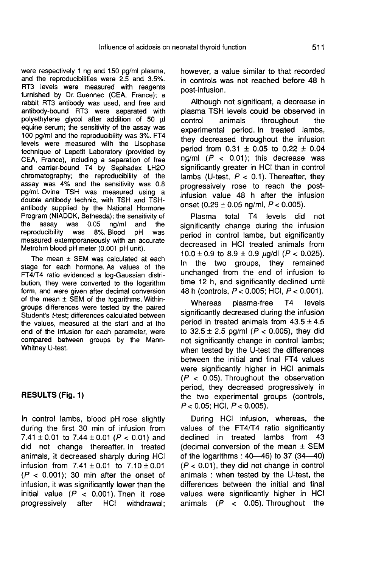were respectively 1 ng and 150 pg/ml plasma. and the reproducibilities were 2.5 and 3.5%. RT3 levels were measured with reagents furnished by Dr. Guennec (CEA, France); a rabbit RT3 antibody was used, and free and antibody-bound RT3 were separated with polyethylene glycol after addition of 50 wl equine serum; the sensitivity of the assay was 100 pg/ml and the reproducibility was 3%. FT4 levels were measured with the Lisophase technique of Lepetit Laboratory (provided by CEA, France), including a separation of free and carrier-bound T4 by Sephadex LH20 chromatography; the reproducibility of the assay was 4% and the sensitivity was 0.8 pg/ml. Ovine TSH was measured using a double antibody technic, with TSH and TSHantibody supplied by the National Hormone Program (NIADDK, Bethesda); the sensitivity of<br>the assay was 0.05 ng/ml and the the assay 0.05 ng/ml and the assay was 8%. Blood of the was reproducibility measured extemporaneously with an accurate Metrohm blood pH meter (0.001 pH unit).

The mean  $\pm$  SEM was calculated at each stage for each hormone. As values of the FT4/T4 ratio evidenced a log-Gaussian distribution, they were converted to the logarithm form, and were given after decimal conversion of the mean  $\pm$  SEM of the logarithms. Withingroups differences were tested by the paired Student's t-test; differences calculated between the values, measured at the start and at the end of the infusion for each parameter, were compared between groups by the Mann-Whitney U-test.

### RESULTS (Fig. 1)

In control lambs, blood pH rose slightly during the first 30 min of infusion from 7.41  $\pm$  0.01 to 7.44  $\pm$  0.01 (P < 0.01) and did not change thereafter. In treated animals, it decreased sharply during HCI infusion from  $7.41 \pm 0.01$  to  $7.10 \pm 0.01$  $(P < 0.001)$ ; 30 min after the onset of infusion, it was significantly lower than the initial value  $(P < 0.001)$ . Then it rose<br>progressively after HCl withdrawal: progressively after HCI withdrawal;

however, a value similar to that recorded in controls was not reached before 48 h post-infusion.

Although not significant, a decrease in plasma TSH levels could be observed in<br>control animals throughout the throughout experimental period. In treated lambs, they decreased throughout the infusion period from  $0.31 \pm 0.05$  to  $0.22 \pm 0.04$ ng/ml  $(P < 0.01)$ ; this decrease was significantly greater in HCI than in control lambs (U-test,  $P < 0.1$ ). Thereafter, they progressively rose to reach the postinfusion value 48 h after the infusion onset  $(0.29 \pm 0.05 \text{ na/ml}$ .  $P < 0.005$ ).

Plasma total T4 levels did not significantly change during the infusion period in control lambs, but significantly decreased in HCI treated animals from 10.0  $\pm$  0.9 to 8.9  $\pm$  0.9  $\mu$ g/dl (P < 0.025). In the two groups, they remained unchanged from the end of infusion to time 12 h, and significantly declined until 48 h (controls, P < 0.005; HCI, P < 0.001).

Whereas plasma-free T4 levels significantly decreased during the infusion period in treated animals from  $43.5 \pm 4.5$ to  $32.5 \pm 2.5$  pg/ml ( $P < 0.005$ ), they did not significantly change in control lambs; when tested by the U-test the differences between the initial and final FT4 values were significantly higher in HCI animals  $(P < 0.05)$ . Throughout the observation period, they decreased progressively in the two experimental groups (controls,  $P < 0.05$ ; HCI,  $P < 0.005$ ).

During HCI infusion, whereas, the values of the FT4/T4 ratio significantly declined in treated lambs from 43 (decimal conversion of the mean  $\pm$  SEM of the logarithms : 40―46) to 37 (34―40)  $(P < 0.01)$ , they did not change in control animals : when tested by the U-test, the differences between the initial and final values were significantly higher in HCI animals  $(P \lt 0.05)$ . Throughout the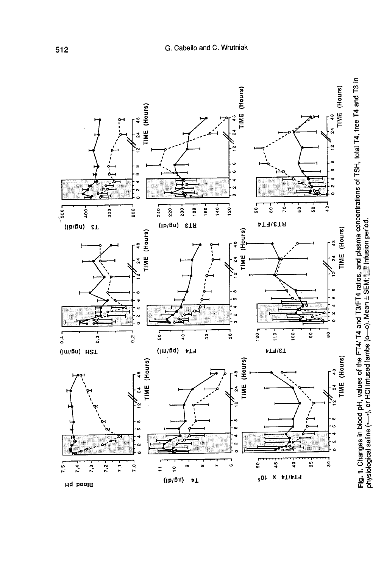

Fig. 1. Changes in blood pH, values of the FT4/ T4 and T3/FT4 ratios, and plasma concentrations of TSH, total T4, free T4 and T3 in<br>physiological saline (←–•), or HCl infused lambs (o—o). Mean ± SEM;ﷺ infusion period.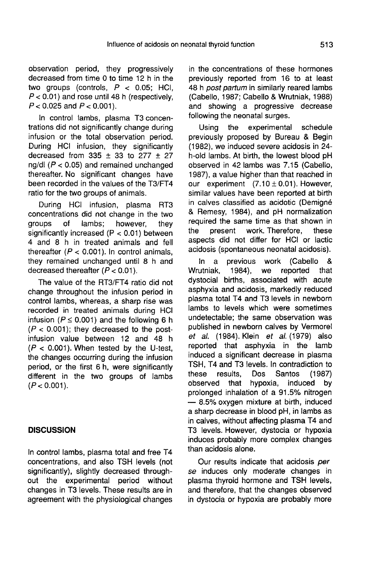observation period, they progressively decreased from time 0 to time 12 h in the two groups (controls,  $P < 0.05$ ; HCI,  $P < 0.01$ ) and rose until 48 h (respectively,  $P < 0.025$  and  $P < 0.001$ ).

In control lambs, plasma T3 concentrations did not significantly change during infusion or the total observation period. During HCI infusion, they significantly decreased from 335  $\pm$  33 to 277  $\pm$  27 ng/dl  $(P < 0.05)$  and remained unchanged thereafter. No significant changes have been recorded in the values of the T3/FT4 ratio for the two groups of animals.

During HCI infusion, plasma RT3 concentrations did not change in the two<br>groups of lambs: however, they however, significantly increased (P < 0.01) between 4 and 8 h in treated animals and fell thereafter  $(P < 0.001)$ . In control animals, they remained unchanged until 8 h and decreased thereafter  $(P < 0.01)$ .

The value of the RT3/FT4 ratio did not change throughout the infusion period in control lambs, whereas, a sharp rise was recorded in treated animals during HCI infusion ( $P \le 0.001$ ) and the following 6 h  $(P < 0.001)$ ; they decreased to the postinfusion value between 12 and 48 h  $(P < 0.001)$ . When tested by the U-test, the changes occurring during the infusion period, or the first 6 h, were significantly different in the two groups of lambs  $(P < 0.001)$ .

#### **DISCUSSION**

In control lambs, plasma total and free T4 concentrations, and also TSH levels (not significantly), slightly decreased throughout the experimental period without changes in T3 levels. These results are in agreement with the physiological changes

in the concentrations of these hormones previously reported from 16 to at least 48 h post partum in similarly reared lambs (Cabello, 1987; Cabello & Wrutniak, 1988) and showing a progressive decrease following the neonatal surges.

Using the experimental schedule previously proposed by Bureau & Begin (1982), we induced severe acidosis in 24 h-old lambs. At birth, the lowest blood pH observed in 42 lambs was 7.15 (Cabello, 1987), a value higher than that reached in our experiment  $(7.10 \pm 0.01)$ . However, similar values have been reported at birth<br>in calves classified as acidotic (Demigné observed in 42 lambs was 7.15 (Cabello, 1987), a value higher than that reached in our experiment  $(7.10 \pm 0.01)$ . However, similar values have been reported at birth in calves classified as acidotic (Demigné & Remesy, 19 & Remesy, 1984), and pH normalization required the same time as that shown in<br>the present work. Therefore, these work. Therefore, aspects did not differ for HCI or lactic acidosis (spontaneous neonatal acidosis).

In a previous work (Cabello & reported dystocial births, associated with acute asphyxia and acidosis, markedly reduced plasma total T4 and T3 levels in newborn lambs to levels which were sometimes undetectable; the same observation was published in newborn calves by Vermorel et al. (1984). Klein et al. (1979) also reported that asphyxia in the lamb induced a significant decrease in plasma TSH, T4 and T3 levels. In contradiction to<br>these results. Dos Santos (1987) these results, Dos Santos (1987)<br>observed that hypoxia, induced by observed that hypoxia, induced by<br>prolonged inhalation of a 91.5% nitrogen  $-$  8.5% oxygen mixture at birth, induced a sharp decrease in blood pH, in lambs as in calves, without affecting plasma T4 and T3 levels. However, dystocia or hypoxia induces probably more complex changes than acidosis alone.

Our results indicate that acidosis per se induces only moderate changes in plasma thyroid hormone and TSH levels, and therefore, that the changes observed in dystocia or hypoxia are probably more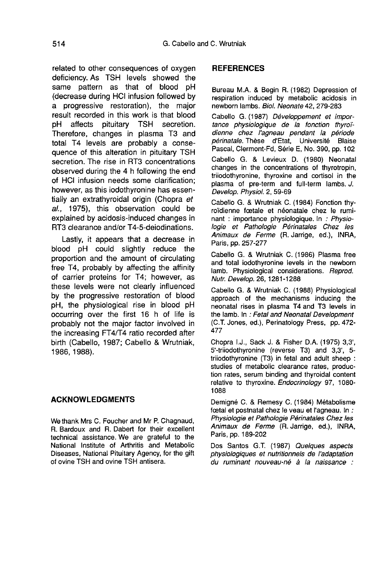related to other consequences of oxygen deficiency. As TSH levels showed the same pattern as that of blood pH (decrease during HCI infusion followed by a progressive restoration), the major result recorded in this work is that blood pH affects pituitary TSH secretion. Therefore, changes in plasma T3 and total T4 levels are probably a consequence of this alteration in pituitary TSH secretion. The rise in RT3 concentrations observed during the 4 h following the end of HCI infusion needs some clarification; however, as this iodothyronine has essentially an extrathyroidal origin (Chopra et al., 1975), this observation could be explained by acidosis-induced changes in RT3 clearance and/or T4-5-deiodinations.

Lastly, it appears that a decrease in blood pH could slightly reduce the proportion and the amount of circulating free T4, probably by affecting the affinity of carrier proteins for T4; however, as these levels were not clearly influenced by the progressive restoration of blood pH, the physiological rise in blood pH occurring over the first 16 h of life is probably not the major factor involved in the increasing FT4/T4 ratio recorded after birth (Cabello, 1987; Cabello & Wrutniak, 1986, 1988).

## ACKNOWLEDGMENTS

We thank Mrs C. Foucher and Mr P. Chagnaud, R. Bardoux and R. Dabert for their excellent technical assistance. We are grateful to the National Institute of Arthritis and Metabolic Diseases, National Pituitary Agency, for the gift of ovine TSH and ovine TSH antisera.

#### **REFERENCES**

Bureau M.A. & Begin R. (1982) Depression of respiration induced by metabolic acidosis in newborn lambs. Biol. Neonate 42, 279-283

Cabello G. (1987) Développement et importance physiologique de la fonction thyro)' dienne chez I'agneau pendant la période périnatale. Thèse d'Etat, Université Blaise Pascal, Clermont-Fd, Série E, No. 390, pp. 102

Cabello G. & Levieux D. (1980) Neonatal changes in the concentrations of thyrotropin, triiodothyronine, thyroxine and cortisol in the plasma of pre-term and full-term lambs. J. Develop. Physiol. 2, 59-69

Cabello G. & Wrutniak C. (1984) Fonction thyroidienne foetale et néonatale chez le ruminant : importance physiologique. In : Physiologie et Pathologie Périnatales Chez les Animaux de Ferme (R. Jarrige, ed.), INRA, Paris, pp. 257-277

Cabello G. & Wrutniak C. (1986) Plasma free and total iodothyronine levels in the newborn lamb. Physiological considerations. Reprod. Nutr. Develop. 26, 1281-1288

Cabello G. & Wrutniak C. (1988) Physiological approach of the mechanisms inducing the neonatal rises in plasma T4 and T3 levels in the lamb. In : Fetal and Neonatal Development (C.T. Jones, ed.), Perinatology Press, pp. 472- 477

Chopra I.J., Sack J. & Fisher D.A. (1975) 3,3', 5'-triiodothyronine (reverse T3) and 3,3', 5 triiodothyronine (T3) in fetal and adult sheep : studies of metabolic clearance rates, production rates, serum binding and thyroidal content relative to thyroxine. Endocrinology 97, 1080- 1088

Demigné C. & Remesy C. (1984) M6tabolisme Footing C. & Remesy C. (1984) Métabolisme<br>foatal et postnatal chez le veau et l'agneau. In :<br>Divisiolatie et Rethelezie Régisateles Charles Physiologie et Pathologie Périnatales Chez les Animaux de Ferme (R. Jarrige, ed.), INRA, Paris, pp. 189-202

Dos Santos G.T. (1987) Quelques aspects physiologiques et nutritionnels de I'adaptation du ruminant nouveau-né à la naissance :